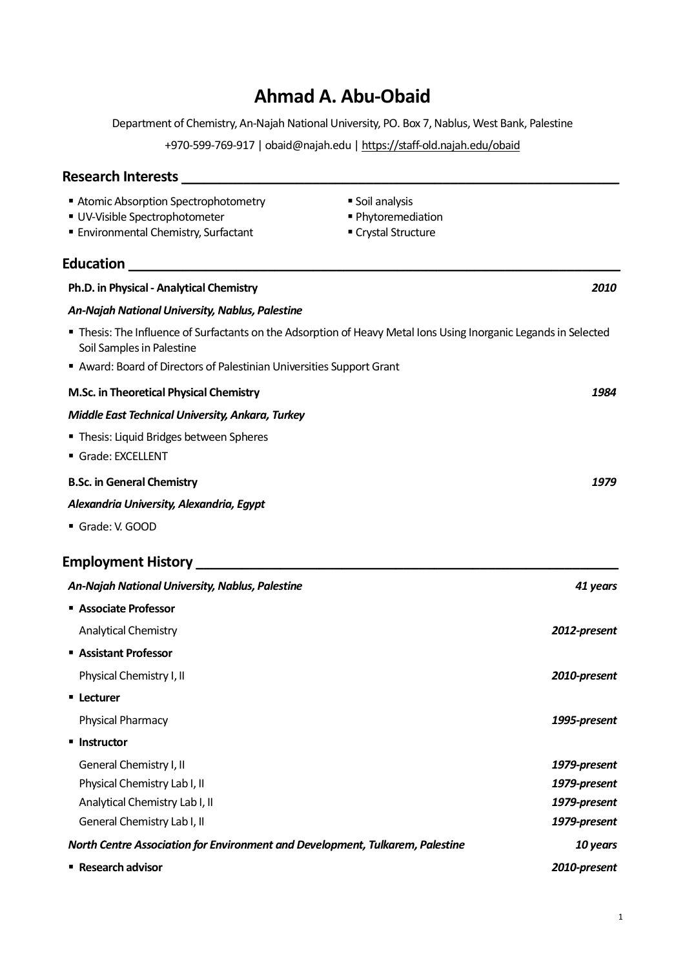# **Ahmad A. Abu-Obaid**

Department of Chemistry, An-Najah National University, PO. Box 7, Nablus, West Bank, Palestine

+970-599-769-917 | obaid@najah.edu [| https://staff-old.najah.edu/obaid](https://staff-old.najah.edu/obaid)

# **Research Interests \_\_\_\_\_\_\_\_\_\_\_\_\_\_\_\_\_\_\_\_\_\_\_\_\_\_\_\_\_\_\_\_\_\_\_\_\_\_\_\_\_\_\_\_\_\_\_\_\_\_\_\_\_\_\_\_\_ E** Atomic Absorption Spectrophotometry ■ UV-Visible Spectrophotometer **Environmental Chemistry, Surfactant** ■ Soil analysis ■ Phytoremediation ■ Crystal Structure **Education Exercise 2020 Ph.D. in Physical - Analytical Chemistry** *2010 An-Najah NationalUniversity, Nablus, Palestine* ▪ Thesis: The Influence of Surfactants on the Adsorption of Heavy Metal Ions Using Inorganic Legands in Selected Soil Samples in Palestine ■ Award: Board of Directors of Palestinian Universities Support Grant **M.Sc. in Theoretical Physical Chemistry** *1984 Middle East Technical University, Ankara, Turkey* **Thesis: Liquid Bridges between Spheres** ▪ Grade: EXCELLENT **B.Sc. in General Chemistry** *1979 Alexandria University, Alexandria, Egypt* ▪ Grade: V. GOOD **Employment History \_\_\_\_\_\_\_\_\_\_\_\_\_\_\_\_\_\_\_\_\_\_\_\_\_\_\_\_\_\_\_\_\_\_\_\_\_\_\_\_\_\_\_\_\_\_\_\_\_\_\_\_\_\_\_** *An-Najah NationalUniversity, Nablus, Palestine 41 years* ▪ **Associate Professor** Analytical Chemistry *2012-present* ▪ **Assistant Professor** Physical Chemistry I, II *2010-present* ▪ **Lecturer** Physical Pharmacy *1995-present* ▪ **Instructor** General Chemistry I, II Physical Chemistry Lab I, II Analytical Chemistry Lab I, II General Chemistry Lab I, II *1979-present 1979-present 1979-present 1979-present North Centre Association for Environment and Development, Tulkarem, Palestine* ▪ **Research advisor** *10 years 2010-present*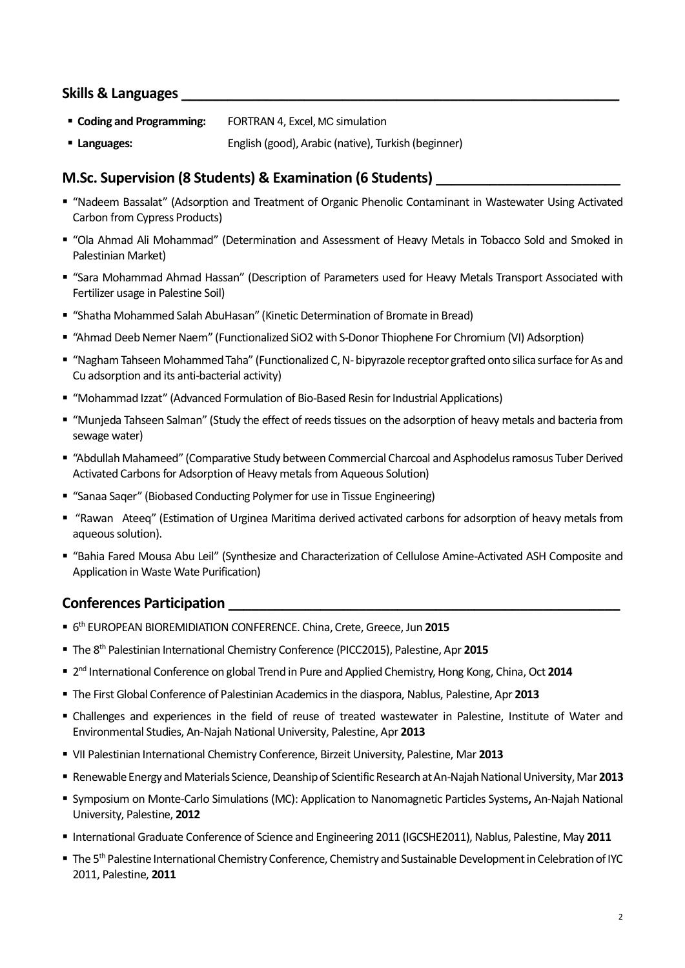### **Skills & Languages \_\_\_\_\_\_\_\_\_\_\_\_\_\_\_\_\_\_\_\_\_\_\_\_\_\_\_\_\_\_\_\_\_\_\_\_\_\_\_\_\_\_\_\_\_\_\_\_\_\_\_\_\_\_\_\_\_**

- **Coding and Programming:** FORTRAN 4, Excel, MC simulation
- **English (good), Arabic (native), Turkish (beginner)** English (good), Arabic (native), Turkish (beginner)

#### **M.Sc. Supervision (8 Students) & Examination (6 Students) \_\_\_\_\_\_\_\_\_\_\_\_\_\_\_\_\_\_\_\_\_\_\_\_**

- "Nadeem Bassalat" (Adsorption and Treatment of Organic Phenolic Contaminant in Wastewater Using Activated Carbon from Cypress Products)
- "Ola Ahmad Ali Mohammad" (Determination and Assessment of Heavy Metals in Tobacco Sold and Smoked in Palestinian Market)
- "Sara Mohammad Ahmad Hassan" (Description of Parameters used for Heavy Metals Transport Associated with Fertilizer usage in Palestine Soil)
- "Shatha Mohammed Salah AbuHasan" (Kinetic Determination of Bromate in Bread)
- "Ahmad Deeb Nemer Naem" (Functionalized SiO2 with S-Donor Thiophene For Chromium (VI) Adsorption)
- "Nagham Tahseen Mohammed Taha" (Functionalized C, N-bipyrazole receptor grafted onto silica surface for As and Cu adsorption and its anti-bacterial activity)
- "Mohammad Izzat" (Advanced Formulation of Bio-Based Resin for Industrial Applications)
- "Munjeda Tahseen Salman" (Study the effect of reeds tissues on the adsorption of heavy metals and bacteria from sewage water)
- "Abdullah Mahameed" (Comparative Study between Commercial Charcoal and Asphodelus ramosus Tuber Derived Activated Carbons for Adsorption of Heavy metals from Aqueous Solution)
- "Sanaa Saqer" (Biobased Conducting Polymer for use in Tissue Engineering)
- "Rawan Ateeq" (Estimation of Urginea Maritima derived activated carbons for adsorption of heavy metals from aqueous solution).
- "Bahia Fared Mousa Abu Leil" (Synthesize and Characterization of Cellulose Amine-Activated ASH Composite and Application in Waste Wate Purification)

#### **Conferences Participation \_\_\_\_\_\_\_\_\_\_\_\_\_\_\_\_\_\_\_\_\_\_\_\_\_\_\_\_\_\_\_\_\_\_\_\_\_\_\_\_\_\_\_\_\_\_\_\_\_\_\_**

- 6 th EUROPEAN BIOREMIDIATION CONFERENCE. China, Crete, Greece, Jun **2015**
- The 8th Palestinian International Chemistry Conference (PICC2015), Palestine, Apr **2015**
- 2<sup>nd</sup> International Conference on global Trend in Pure and Applied Chemistry, Hong Kong, China, Oct 2014
- The First Global Conference of Palestinian Academics in the diaspora, Nablus, Palestine, Apr **2013**
- Challenges and experiences in the field of reuse of treated wastewater in Palestine, Institute of Water and Environmental Studies, An-Najah National University, Palestine, Apr **2013**
- VII Palestinian International Chemistry Conference, Birzeit University, Palestine, Mar **2013**
- Renewable Energy and Materials Science, Deanship of Scientific Research at An-Najah National University, Mar **2013**
- Symposium on Monte-Carlo Simulations (MC): Application to Nanomagnetic Particles Systems**,** An-Najah National University, Palestine, **2012**
- International Graduate Conference of Science and Engineering 2011 (IGCSHE2011), Nablus, Palestine, May **2011**
- The 5<sup>th</sup> Palestine International Chemistry Conference, Chemistry and Sustainable Development in Celebration of IYC 2011, Palestine, **2011**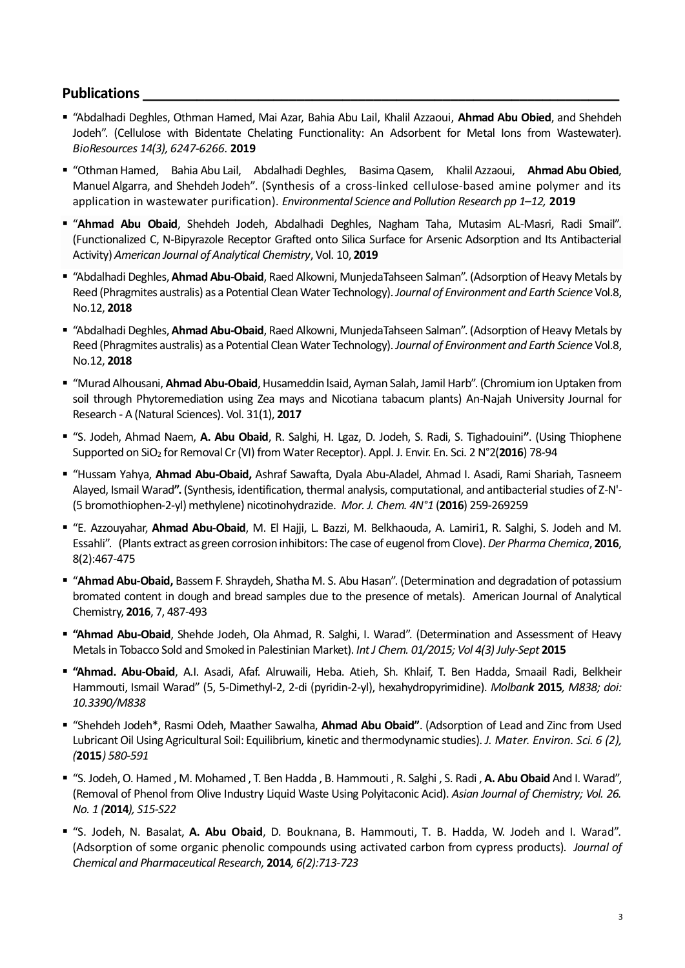## **Publications \_\_\_\_\_\_\_\_\_\_\_\_\_\_\_\_\_\_\_\_\_\_\_\_\_\_\_\_\_\_\_\_\_\_\_\_\_\_\_\_\_\_\_\_\_\_\_\_\_\_\_\_\_\_\_\_\_\_\_\_\_\_**

- "Abdalhadi Deghles, Othman Hamed, Mai Azar, Bahia Abu Lail, Khalil Azzaoui, **Ahmad Abu Obied**, and Shehdeh Jodeh". (Cellulose with Bidentate Chelating Functionality: An Adsorbent for Metal Ions from Wastewater). *BioResources 14(3), 6247-6266*. **2019**
- "OthmanHamed, Bahia Abu Lail, Abdalhadi Deghles, BasimaQasem, Khalil Azzaoui, **Ahmad Abu Obied**, Manuel Algarra, and Shehdeh Jodeh". (Synthesis of a cross-linked cellulose-based amine polymer and its application in wastewater purification). *Environmental Science and Pollution Research pp 1–12,* **2019**
- "**Ahmad Abu Obaid**, Shehdeh Jodeh, Abdalhadi Deghles, Nagham Taha, Mutasim AL-Masri, Radi Smail". (Functionalized C, N-Bipyrazole Receptor Grafted onto Silica Surface for Arsenic Adsorption and Its Antibacterial Activity) *American Journal of Analytical Chemistry*, Vol. 10, **2019**
- "Abdalhadi Deghles, **Ahmad Abu-Obaid**, Raed Alkowni, MunjedaTahseen Salman". (Adsorption of Heavy Metals by Reed (Phragmites australis) as a Potential Clean Water Technology).*Journal of Environment and Earth Science* Vol.8, No.12, **2018**
- "Abdalhadi Deghles, **Ahmad Abu-Obaid**, Raed Alkowni, MunjedaTahseen Salman". (Adsorption of Heavy Metals by Reed (Phragmites australis) as a Potential Clean Water Technology).*Journal of Environment and Earth Science* Vol.8, No.12, **2018**
- "Murad Alhousani, **Ahmad Abu-Obaid**, Husameddin lsaid, Ayman Salah, Jamil Harb". (Chromium ion Uptaken from soil through Phytoremediation using Zea mays and Nicotiana tabacum plants) An-Najah University Journal for Research - A (Natural Sciences). Vol. 31(1), **2017**
- "S. Jodeh, Ahmad Naem, **A. Abu Obaid**, R. Salghi, H. Lgaz, D. Jodeh, S. Radi, S. Tighadouini**"**. (Using Thiophene Supported on SiO<sup>2</sup> for Removal Cr(VI) from Water Receptor). Appl. J. Envir. En. Sci. 2 N°2(**2016**) 78-94
- "Hussam Yahya, **Ahmad Abu-Obaid,** Ashraf Sawafta, Dyala Abu-Aladel, Ahmad I. Asadi, Rami Shariah, Tasneem Alayed, Ismail Warad**".** (Synthesis, identification, thermal analysis, computational, and antibacterial studies of Z-N'- (5 bromothiophen-2-yl)methylene) nicotinohydrazide. *Mor. J. Chem. 4N°1* (**2016**) 259-269259
- "E. Azzouyahar, **Ahmad Abu-Obaid**, M. El Hajji, L. Bazzi, M. Belkhaouda, A. Lamiri1, R. Salghi, S. Jodeh and M. Essahli". (Plants extract as green corrosion inhibitors: The case of eugenol from Clove). *Der Pharma Chemica*, **2016**, 8(2):467-475
- "**Ahmad Abu-Obaid,** Bassem F. Shraydeh, Shatha M. S. Abu Hasan". (Determination and degradation of potassium bromated content in dough and bread samples due to the presence of metals). American Journal of Analytical Chemistry, **2016**, 7, 487-493
- **"Ahmad Abu-Obaid**, Shehde Jodeh, Ola Ahmad, R. Salghi, I. Warad". (Determination and Assessment of Heavy Metals in Tobacco Sold and Smoked in Palestinian Market). *Int J Chem. 01/2015; Vol 4(3) July-Sept* **2015**
- **"Ahmad. Abu-Obaid**, A.I. Asadi, Afaf. Alruwaili, Heba. Atieh, Sh. Khlaif, T. Ben Hadda, Smaail Radi, Belkheir Hammouti, Ismail Warad" (5, 5-Dimethyl-2, 2-di (pyridin-2-yl), hexahydropyrimidine). *Molbank* **2015***, M838; doi: 10.3390/M838*
- "Shehdeh Jodeh\*, Rasmi Odeh, Maather Sawalha, **Ahmad Abu Obaid"**. (Adsorption of Lead and Zinc from Used Lubricant Oil Using Agricultural Soil: Equilibrium, kinetic and thermodynamic studies). *J. Mater. Environ. Sci. 6 (2), (***2015***) 580-591*
- "S. Jodeh, O. Hamed , M. Mohamed , T. Ben Hadda , B. Hammouti , R. Salghi , S. Radi , **A. Abu Obaid** And I. Warad", (Removal of Phenol from Olive Industry Liquid Waste Using Polyitaconic Acid). *Asian Journal of Chemistry; Vol. 26. No. 1 (***2014***), S15-S22*
- "S. Jodeh, N. Basalat, **A. Abu Obaid**, D. Bouknana, B. Hammouti, T. B. Hadda, W. Jodeh and I. Warad". (Adsorption of some organic phenolic compounds using activated carbon from cypress products). *Journal of Chemical and Pharmaceutical Research,* **2014***, 6(2):713-723*